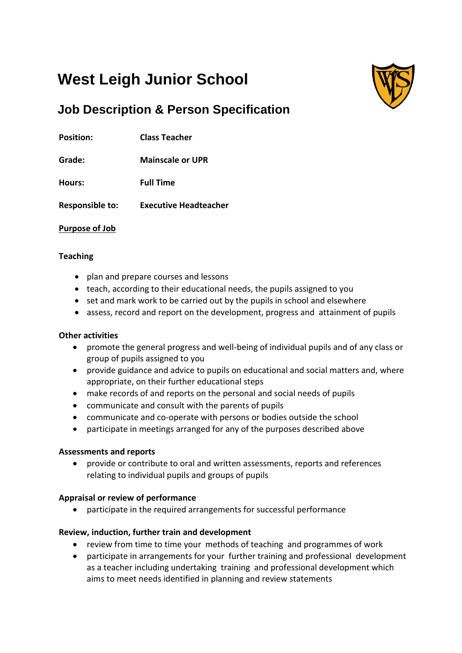# **West Leigh Junior School**



# **Job Description & Person Specification**

**Position: Class Teacher**

**Grade: Mainscale or UPR**

**Hours: Full Time**

**Responsible to: Executive Headteacher**

# **Purpose of Job**

# **Teaching**

- plan and prepare courses and lessons
- teach, according to their educational needs, the pupils assigned to you
- set and mark work to be carried out by the pupils in school and elsewhere
- assess, record and report on the development, progress and attainment of pupils

# **Other activities**

- promote the general progress and well-being of individual pupils and of any class or group of pupils assigned to you
- provide guidance and advice to pupils on educational and social matters and, where appropriate, on their further educational steps
- make records of and reports on the personal and social needs of pupils
- communicate and consult with the parents of pupils
- communicate and co-operate with persons or bodies outside the school
- participate in meetings arranged for any of the purposes described above

# **Assessments and reports**

 provide or contribute to oral and written assessments, reports and references relating to individual pupils and groups of pupils

# **Appraisal or review of performance**

participate in the required arrangements for successful performance

# **Review, induction, further train and development**

- review from time to time your methods of teaching and programmes of work
- participate in arrangements for your further training and professional development as a teacher including undertaking training and professional development which aims to meet needs identified in planning and review statements